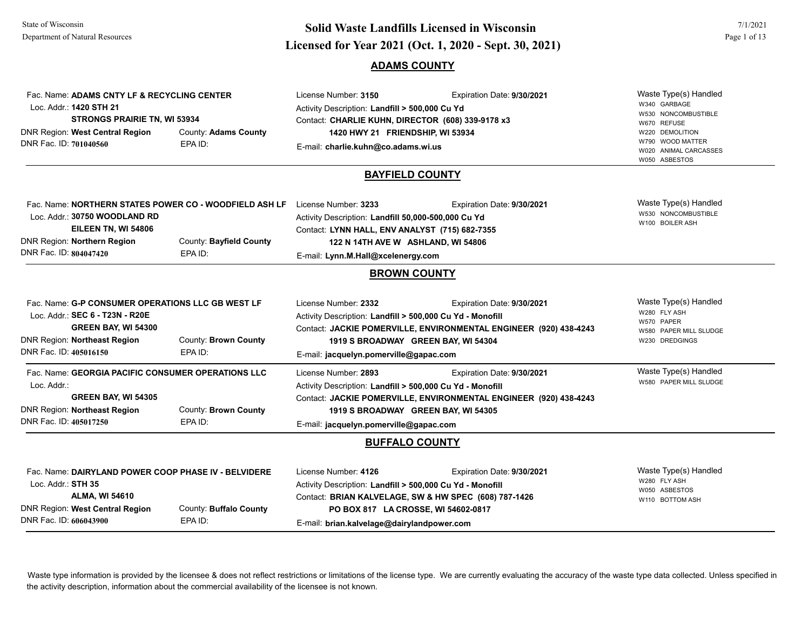Fac. Name: **ADAMS CNTY LF & RECYCLING CENTER**

# **Licensed for Year 2021 (Oct. 1, 2020 - Sept. 30, 2021) Solid Waste Landfills Licensed in Wisconsin**

Expiration Date: **9/30/2021** 

#### **ADAMS COUNTY**

License Number: **3150**

| Loc. Addr.: 1420 STH 21<br><b>STRONGS PRAIRIE TN, WI 53934</b><br>DNR Region: West Central Region<br>DNR Fac. ID: 701040560<br>EPA ID:                                             | County: Adams County    | Activity Description: Landfill > 500,000 Cu Yd<br>Contact: CHARLIE KUHN, DIRECTOR (608) 339-9178 x3<br>1420 HWY 21 FRIENDSHIP, WI 53934<br>E-mail: charlie.kuhn@co.adams.wi.us                            | W340 GARBAGE<br>W530 NONCOMBUSTIBLE<br>W670 REFUSE<br>W220 DEMOLITION<br>W790 WOOD MATTER<br>W020 ANIMAL CARCASSES<br>W050 ASBESTOS |                                                                                                 |
|------------------------------------------------------------------------------------------------------------------------------------------------------------------------------------|-------------------------|-----------------------------------------------------------------------------------------------------------------------------------------------------------------------------------------------------------|-------------------------------------------------------------------------------------------------------------------------------------|-------------------------------------------------------------------------------------------------|
|                                                                                                                                                                                    |                         | <b>BAYFIELD COUNTY</b>                                                                                                                                                                                    |                                                                                                                                     |                                                                                                 |
| Fac. Name: NORTHERN STATES POWER CO - WOODFIELD ASH LF<br>Loc. Addr.: 30750 WOODLAND RD<br>EILEEN TN, WI 54806<br>DNR Region: Northern Region<br>DNR Fac. ID: 804047420<br>EPA ID: | County: Bayfield County | License Number: 3233<br>Activity Description: Landfill 50,000-500,000 Cu Yd<br>Contact: LYNN HALL, ENV ANALYST (715) 682-7355<br>122 N 14TH AVE W ASHLAND, WI 54806<br>E-mail: Lynn.M.Hall@xcelenergy.com | Expiration Date: 9/30/2021                                                                                                          | Waste Type(s) Handled<br>W530 NONCOMBUSTIBLE<br>W100 BOILER ASH                                 |
|                                                                                                                                                                                    |                         | <b>BROWN COUNTY</b>                                                                                                                                                                                       |                                                                                                                                     |                                                                                                 |
| Fac. Name: G-P CONSUMER OPERATIONS LLC GB WEST LF<br>Loc. Addr.: SEC 6 - T23N - R20E<br>GREEN BAY, WI 54300<br>DNR Region: Northeast Region<br>DNR Fac. ID: 405016150<br>EPA ID:   | County: Brown County    | License Number: 2332<br>Activity Description: Landfill > 500,000 Cu Yd - Monofill<br>1919 S BROADWAY GREEN BAY, WI 54304<br>E-mail: jacquelyn.pomerville@gapac.com                                        | Expiration Date: 9/30/2021<br>Contact: JACKIE POMERVILLE, ENVIRONMENTAL ENGINEER (920) 438-4243                                     | Waste Type(s) Handled<br>W280 FLY ASH<br>W570 PAPER<br>W580 PAPER MILL SLUDGE<br>W230 DREDGINGS |
| Fac. Name: GEORGIA PACIFIC CONSUMER OPERATIONS LLC<br>Loc. Addr.:<br><b>GREEN BAY, WI 54305</b><br>DNR Region: Northeast Region<br>DNR Fac. ID: 405017250<br>EPA ID:               | County: Brown County    | License Number: 2893<br>Activity Description: Landfill > 500,000 Cu Yd - Monofill<br>1919 S BROADWAY GREEN BAY, WI 54305<br>E-mail: jacquelyn.pomerville@gapac.com                                        | Expiration Date: 9/30/2021<br>Contact: JACKIE POMERVILLE, ENVIRONMENTAL ENGINEER (920) 438-4243                                     | Waste Type(s) Handled<br>W580 PAPER MILL SLUDGE                                                 |
|                                                                                                                                                                                    |                         | <b>BUFFALO COUNTY</b>                                                                                                                                                                                     |                                                                                                                                     |                                                                                                 |
| Fac. Name: DAIRYLAND POWER COOP PHASE IV - BELVIDERE<br>Loc. Addr.: STH 35<br><b>ALMA, WI 54610</b><br>DNR Region: West Central Region<br>DNR Fac. ID: 606043900<br>EPA ID:        | County: Buffalo County  | License Number: 4126<br>Activity Description: Landfill > 500,000 Cu Yd - Monofill<br>PO BOX 817 LA CROSSE, WI 54602-0817<br>E-mail: brian.kalvelage@dairylandpower.com                                    | Expiration Date: 9/30/2021<br>Contact: BRIAN KALVELAGE, SW & HW SPEC (608) 787-1426                                                 | Waste Type(s) Handled<br>W280 FLY ASH<br>W050 ASBESTOS<br>W110 BOTTOM ASH                       |

Waste type information is provided by the licensee & does not reflect restrictions or limitations of the license type. We are currently evaluating the accuracy of the waste type data collected. Unless specified in the activity description, information about the commercial availability of the licensee is not known.

Waste Type(s) Handled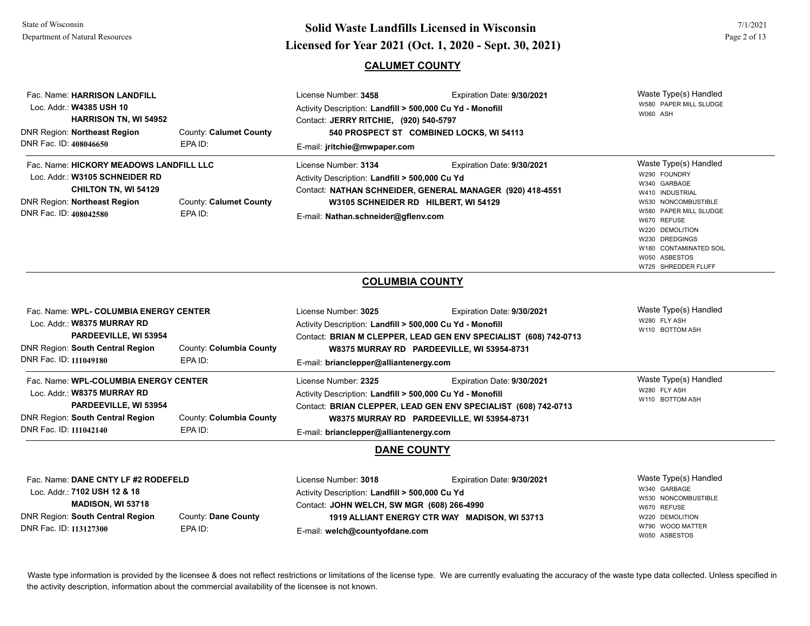## **Licensed for Year 2021 (Oct. 1, 2020 - Sept. 30, 2021) Solid Waste Landfills Licensed in Wisconsin**

#### **CALUMET COUNTY**

| Fac. Name: HARRISON LANDFILL<br>Loc. Addr.: W4385 USH 10<br><b>HARRISON TN, WI 54952</b><br><b>DNR Region: Northeast Region</b><br>DNR Fac. ID: 408046650                 | County: Calumet County<br>EPA ID:  | License Number: 3458<br>Activity Description: Landfill > 500,000 Cu Yd - Monofill<br>Contact: JERRY RITCHIE, (920) 540-5797<br>E-mail: jritchie@mwpaper.com | Expiration Date: 9/30/2021<br>540 PROSPECT ST COMBINED LOCKS, WI 54113                                                                       | Waste Type(s) Handled<br>W580 PAPER MILL SLUDGE<br>W060 ASH                                                                                                                                                                                     |
|---------------------------------------------------------------------------------------------------------------------------------------------------------------------------|------------------------------------|-------------------------------------------------------------------------------------------------------------------------------------------------------------|----------------------------------------------------------------------------------------------------------------------------------------------|-------------------------------------------------------------------------------------------------------------------------------------------------------------------------------------------------------------------------------------------------|
| Fac. Name: HICKORY MEADOWS LANDFILL LLC<br>Loc. Addr.: W3105 SCHNEIDER RD<br><b>CHILTON TN, WI 54129</b><br><b>DNR Region: Northeast Region</b><br>DNR Fac. ID: 408042580 | County: Calumet County<br>EPA ID:  | License Number: 3134<br>Activity Description: Landfill > 500,000 Cu Yd<br>E-mail: Nathan.schneider@gflenv.com                                               | Expiration Date: 9/30/2021<br>Contact: NATHAN SCHNEIDER, GENERAL MANAGER (920) 418-4551<br>W3105 SCHNEIDER RD HILBERT, WI 54129              | Waste Type(s) Handled<br>W290 FOUNDRY<br>W340 GARBAGE<br>W410 INDUSTRIAL<br>W530 NONCOMBUSTIBLE<br>W580 PAPER MILL SLUDGE<br>W670 REFUSE<br>W220 DEMOLITION<br>W230 DREDGINGS<br>W180 CONTAMINATED SOIL<br>W050 ASBESTOS<br>W725 SHREDDER FLUFF |
|                                                                                                                                                                           |                                    |                                                                                                                                                             | <b>COLUMBIA COUNTY</b>                                                                                                                       |                                                                                                                                                                                                                                                 |
| Fac. Name: WPL- COLUMBIA ENERGY CENTER<br>Loc. Addr.: W8375 MURRAY RD<br>PARDEEVILLE, WI 53954<br><b>DNR Region: South Central Region</b><br>DNR Fac. ID: 111049180       | County: Columbia County<br>EPA ID: | License Number: 3025<br>Activity Description: Landfill > 500,000 Cu Yd - Monofill<br>E-mail: brianclepper@alliantenergy.com                                 | Expiration Date: 9/30/2021<br>Contact: BRIAN M CLEPPER, LEAD GEN ENV SPECIALIST (608) 742-0713<br>W8375 MURRAY RD PARDEEVILLE, WI 53954-8731 | Waste Type(s) Handled<br>W280 FLY ASH<br>W110 BOTTOM ASH                                                                                                                                                                                        |
| Fac. Name: WPL-COLUMBIA ENERGY CENTER<br>Loc. Addr.: W8375 MURRAY RD<br>PARDEEVILLE, WI 53954<br><b>DNR Region: South Central Region</b><br>DNR Fac. ID: 111042140        | County: Columbia County<br>EPA ID: | License Number: 2325<br>Activity Description: Landfill > 500,000 Cu Yd - Monofill<br>E-mail: brianclepper@alliantenergy.com                                 | Expiration Date: 9/30/2021<br>Contact: BRIAN CLEPPER, LEAD GEN ENV SPECIALIST (608) 742-0713<br>W8375 MURRAY RD PARDEEVILLE, WI 53954-8731   | Waste Type(s) Handled<br>W280 FLY ASH<br>W110 BOTTOM ASH                                                                                                                                                                                        |
|                                                                                                                                                                           |                                    |                                                                                                                                                             | DANE COUNTY                                                                                                                                  |                                                                                                                                                                                                                                                 |
| Fee Neme: DANE CNTV LE 49 DODEEELD                                                                                                                                        |                                    | 1 issues Number 2040                                                                                                                                        | Evairation Data: 0/20/2024                                                                                                                   | Maste Tyne(s) Handled                                                                                                                                                                                                                           |

| Fac. Name: DANE CNTY LF #2 RODEFELD |                     | License Number: 3018                           | Expiration Date: 9/30/2021                    | Waste Type(s) Handled |
|-------------------------------------|---------------------|------------------------------------------------|-----------------------------------------------|-----------------------|
| Loc. Addr.: 7102 USH 12 & 18        |                     | Activity Description: Landfill > 500,000 Cu Yd |                                               | W340 GARBAGE          |
|                                     |                     |                                                |                                               | W530 NONCOMBUSTIBLE   |
| <b>MADISON, WI 53718</b>            |                     | Contact: JOHN WELCH, SW MGR (608) 266-4990     |                                               | W670 REFUSE           |
| DNR Region: South Central Region    | County: Dane County |                                                | 1919 ALLIANT ENERGY CTR WAY MADISON, WI 53713 | W220 DEMOLITION       |
| DNR Fac. ID: 113127300<br>EPA ID:   |                     |                                                |                                               | W790 WOOD MATTER      |
|                                     |                     | E-mail: welch@countyofdane.com                 |                                               | W050 ASBESTOS         |
|                                     |                     |                                                |                                               |                       |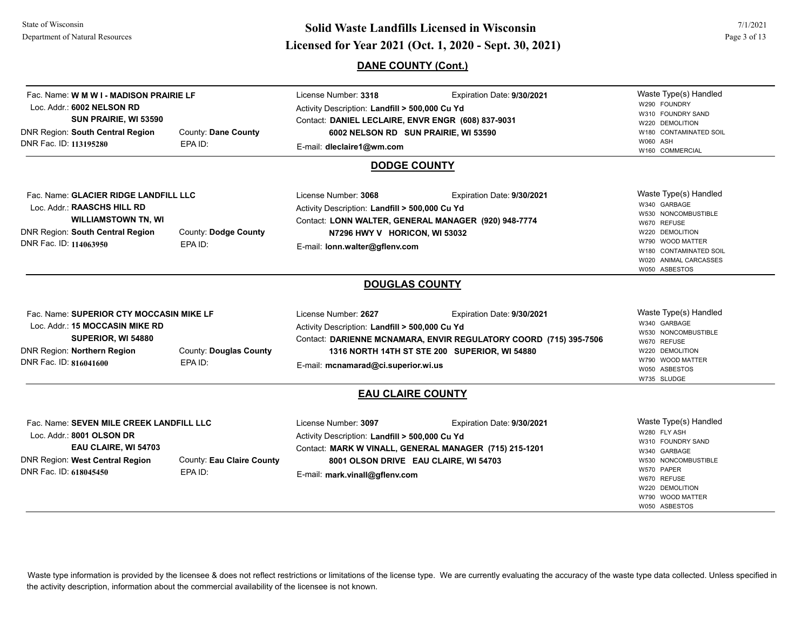## **Page 3 of 13**<br> **Licensed for Year 2021 (Oct. 1, 2020 - Sept. 30, 2021) Solid Waste Landfills Licensed in Wisconsin**

### **DANE COUNTY (Cont.)**

| Fac. Name: W M W I - MADISON PRAIRIE LF<br>Loc. Addr.: 6002 NELSON RD<br>SUN PRAIRIE, WI 53590<br>DNR Region: South Central Region<br>DNR Fac. ID: 113195280     | County: Dane County<br>EPA ID:       | License Number: 3318<br>Activity Description: Landfill > 500,000 Cu Yd<br>Contact: DANIEL LECLAIRE, ENVR ENGR (608) 837-9031<br>6002 NELSON RD SUN PRAIRIE, WI 53590<br>E-mail: dleclaire1@wm.com<br><b>DODGE COUNTY</b> | Expiration Date: 9/30/2021                                                                                                                       | Waste Type(s) Handled<br>W290 FOUNDRY<br>W310 FOUNDRY SAND<br>W220 DEMOLITION<br>W180 CONTAMINATED SOIL<br>W060 ASH<br>W160 COMMERCIAL                                                 |
|------------------------------------------------------------------------------------------------------------------------------------------------------------------|--------------------------------------|--------------------------------------------------------------------------------------------------------------------------------------------------------------------------------------------------------------------------|--------------------------------------------------------------------------------------------------------------------------------------------------|----------------------------------------------------------------------------------------------------------------------------------------------------------------------------------------|
| Fac. Name: GLACIER RIDGE LANDFILL LLC<br>Loc. Addr.: RAASCHS HILL RD<br><b>WILLIAMSTOWN TN, WI</b><br>DNR Region: South Central Region<br>DNR Fac. ID: 114063950 | County: Dodge County<br>EPA ID:      | License Number: 3068<br>Activity Description: Landfill > 500,000 Cu Yd<br>N7296 HWY V HORICON, WI 53032<br>E-mail: Ionn.walter@gflenv.com                                                                                | Expiration Date: 9/30/2021<br>Contact: LONN WALTER, GENERAL MANAGER (920) 948-7774                                                               | Waste Type(s) Handled<br>W340 GARBAGE<br>W530 NONCOMBUSTIBLE<br>W670 REFUSE<br>W220 DEMOLITION<br>W790 WOOD MATTER<br>W180 CONTAMINATED SOIL<br>W020 ANIMAL CARCASSES<br>W050 ASBESTOS |
|                                                                                                                                                                  |                                      | <b>DOUGLAS COUNTY</b>                                                                                                                                                                                                    |                                                                                                                                                  |                                                                                                                                                                                        |
| Fac. Name: SUPERIOR CTY MOCCASIN MIKE LF<br>Loc. Addr.: 15 MOCCASIN MIKE RD<br>SUPERIOR, WI 54880<br>DNR Region: Northern Region<br>DNR Fac. ID: 816041600       | County: Douglas County<br>EPA ID:    | License Number: 2627<br>Activity Description: Landfill > 500,000 Cu Yd<br>E-mail: mcnamarad@ci.superior.wi.us                                                                                                            | Expiration Date: 9/30/2021<br>Contact: DARIENNE MCNAMARA, ENVIR REGULATORY COORD (715) 395-7506<br>1316 NORTH 14TH ST STE 200 SUPERIOR, WI 54880 | Waste Type(s) Handled<br>W340 GARBAGE<br>W530 NONCOMBUSTIBLE<br>W670 REFUSE<br>W220 DEMOLITION<br>W790 WOOD MATTER<br>W050 ASBESTOS<br>W735 SLUDGE                                     |
|                                                                                                                                                                  |                                      | <b>EAU CLAIRE COUNTY</b>                                                                                                                                                                                                 |                                                                                                                                                  |                                                                                                                                                                                        |
| Fac. Name: SEVEN MILE CREEK LANDFILL LLC<br>Loc. Addr.: 8001 OLSON DR<br>EAU CLAIRE, WI 54703<br>DNR Region: West Central Region<br>DNR Fac. ID: 618045450       | County: Eau Claire County<br>EPA ID: | License Number: 3097<br>Activity Description: Landfill > 500,000 Cu Yd<br>8001 OLSON DRIVE EAU CLAIRE, WI 54703<br>E-mail: mark.vinall@gflenv.com                                                                        | Expiration Date: 9/30/2021<br>Contact: MARK W VINALL, GENERAL MANAGER (715) 215-1201                                                             | Waste Type(s) Handled<br>W280 FLY ASH<br>W310 FOUNDRY SAND<br>W340 GARBAGE<br>W530 NONCOMBUSTIBLE<br>W570 PAPER<br>W670 REFUSE<br>W220 DEMOLITION<br>W790 WOOD MATTER<br>W050 ASBESTOS |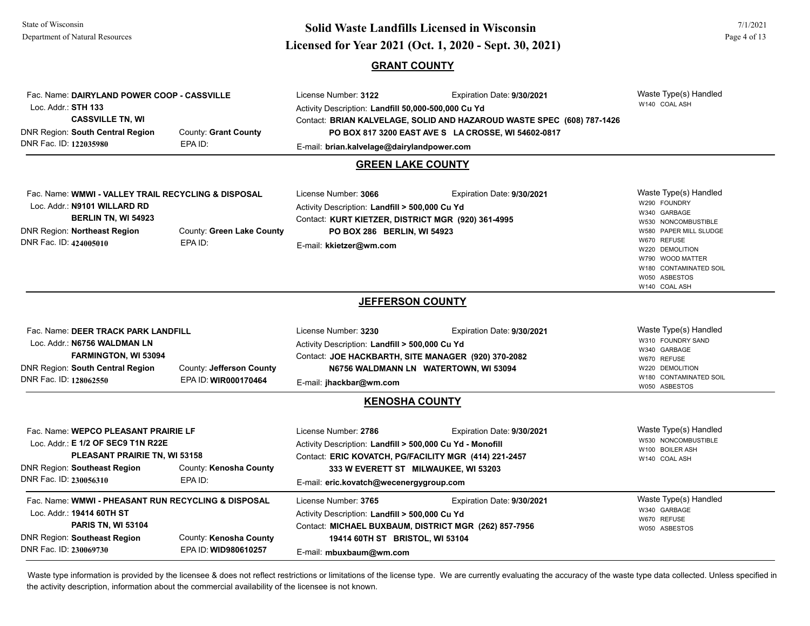## **Page 4 of 13**<br> **Licensed for Year 2021 (Oct. 1, 2020 - Sept. 30, 2021) Solid Waste Landfills Licensed in Wisconsin**

#### **GRANT COUNTY**

| Fac. Name: DAIRYLAND POWER COOP - CASSVILLE<br>Loc. Addr.: STH 133 |                           | License Number: 3122<br>Activity Description: Landfill 50,000-500,000 Cu Yd | Waste Type(s) Handled<br>W140 COAL ASH                                 |                                            |
|--------------------------------------------------------------------|---------------------------|-----------------------------------------------------------------------------|------------------------------------------------------------------------|--------------------------------------------|
| <b>CASSVILLE TN, WI</b>                                            |                           |                                                                             | Contact: BRIAN KALVELAGE, SOLID AND HAZAROUD WASTE SPEC (608) 787-1426 |                                            |
| <b>DNR Region: South Central Region</b>                            | County: Grant County      |                                                                             | PO BOX 817 3200 EAST AVE S LA CROSSE, WI 54602-0817                    |                                            |
| DNR Fac. ID: 122035980                                             | EPA ID:                   | E-mail: brian.kalvelage@dairylandpower.com                                  |                                                                        |                                            |
|                                                                    |                           | <b>GREEN LAKE COUNTY</b>                                                    |                                                                        |                                            |
| Fac. Name: WMWI - VALLEY TRAIL RECYCLING & DISPOSAL                |                           | License Number: 3066                                                        | Expiration Date: 9/30/2021                                             | Waste Type(s) Handled                      |
| Loc. Addr.: N9101 WILLARD RD                                       |                           | Activity Description: Landfill > 500,000 Cu Yd                              |                                                                        | W290 FOUNDRY<br>W340 GARBAGE               |
| <b>BERLIN TN, WI 54923</b>                                         |                           | Contact: KURT KIETZER, DISTRICT MGR (920) 361-4995                          |                                                                        | W530 NONCOMBUSTIBLE                        |
| <b>DNR Region: Northeast Region</b><br>DNR Fac. ID: 424005010      | County: Green Lake County | PO BOX 286 BERLIN, WI 54923                                                 |                                                                        | W580 PAPER MILL SLUDGE<br>W670 REFUSE      |
|                                                                    | EPA ID:                   | E-mail: kkietzer@wm.com                                                     |                                                                        | W220 DEMOLITION                            |
|                                                                    |                           |                                                                             |                                                                        | W790 WOOD MATTER<br>W180 CONTAMINATED SOIL |
|                                                                    |                           |                                                                             |                                                                        | W050 ASBESTOS                              |
|                                                                    |                           |                                                                             |                                                                        | W140 COAL ASH                              |
|                                                                    |                           | <b>JEFFERSON COUNTY</b>                                                     |                                                                        |                                            |
| Fac. Name: DEER TRACK PARK LANDFILL                                |                           | License Number: 3230                                                        | Expiration Date: 9/30/2021                                             | Waste Type(s) Handled                      |
| Loc. Addr.: N6756 WALDMAN LN                                       |                           | Activity Description: Landfill > 500,000 Cu Yd                              |                                                                        | W310 FOUNDRY SAND<br>W340 GARBAGE          |
| <b>FARMINGTON, WI 53094</b>                                        |                           | Contact: JOE HACKBARTH, SITE MANAGER (920) 370-2082                         |                                                                        | W670 REFUSE                                |
| <b>DNR Region: South Central Region</b>                            | County: Jefferson County  | N6756 WALDMANN LN WATERTOWN, WI 53094                                       |                                                                        | W220 DEMOLITION<br>W180 CONTAMINATED SOIL  |
| DNR Fac. ID: 128062550                                             | EPA ID: WIR000170464      | E-mail: jhackbar@wm.com                                                     |                                                                        | W050 ASBESTOS                              |
|                                                                    |                           | <b>KENOSHA COUNTY</b>                                                       |                                                                        |                                            |
| Fac. Name: WEPCO PLEASANT PRAIRIE LF                               |                           | License Number: 2786                                                        | Expiration Date: 9/30/2021                                             | Waste Type(s) Handled                      |
| Loc. Addr.: E 1/2 OF SEC9 T1N R22E                                 |                           | Activity Description: Landfill > 500,000 Cu Yd - Monofill                   |                                                                        | W530 NONCOMBUSTIBLE<br>W100 BOILER ASH     |
| PLEASANT PRAIRIE TN, WI 53158                                      |                           | Contact: ERIC KOVATCH, PG/FACILITY MGR (414) 221-2457                       |                                                                        | W140 COAL ASH                              |
| <b>DNR Region: Southeast Region</b>                                | County: Kenosha County    |                                                                             | 333 W EVERETT ST MILWAUKEE, WI 53203                                   |                                            |
| DNR Fac. ID: 230056310                                             | EPA ID:                   | E-mail: eric.kovatch@wecenergygroup.com                                     |                                                                        |                                            |
| Fac. Name: WMWI - PHEASANT RUN RECYCLING & DISPOSAL                |                           | License Number: 3765                                                        | Expiration Date: 9/30/2021                                             | Waste Type(s) Handled                      |
| Loc. Addr.: 19414 60TH ST                                          |                           | Activity Description: Landfill > 500,000 Cu Yd                              |                                                                        | W340 GARBAGE<br>W670 REFUSE                |
| <b>PARIS TN, WI 53104</b>                                          |                           |                                                                             | Contact: MICHAEL BUXBAUM, DISTRICT MGR (262) 857-7956                  | W050 ASBESTOS                              |
| <b>DNR Region: Southeast Region</b>                                | County: Kenosha County    | 19414 60TH ST BRISTOL, WI 53104                                             |                                                                        |                                            |
| DNR Fac. ID: 230069730                                             | EPA ID: WID980610257      | E-mail: mbuxbaum@wm.com                                                     |                                                                        |                                            |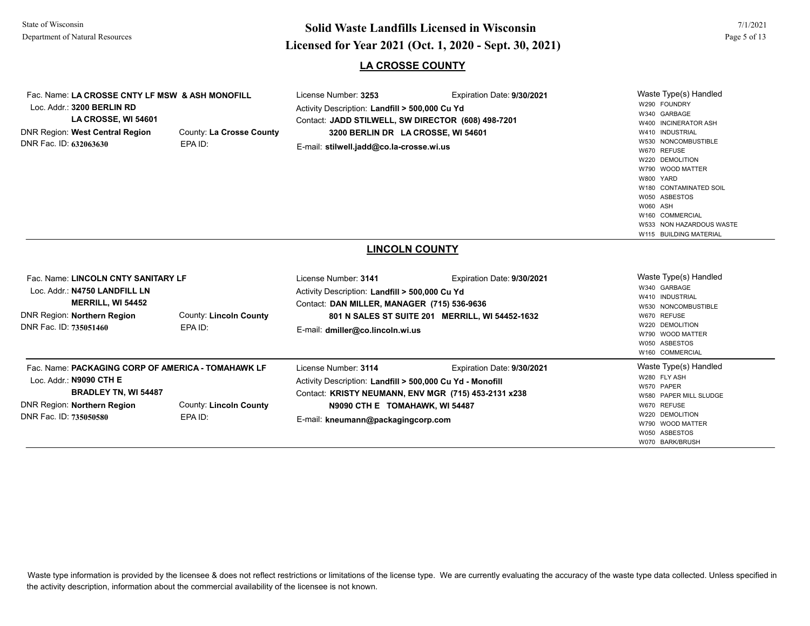# **Page 5 of 13**<br> **Licensed for Year 2021 (Oct. 1, 2020 - Sept. 30, 2021) Solid Waste Landfills Licensed in Wisconsin**

#### **LA CROSSE COUNTY**

| Fac. Name: LA CROSSE CNTY LF MSW & ASH MONOFILL<br>Loc. Addr.: 3200 BERLIN RD<br>LA CROSSE, WI 54601<br>DNR Region: West Central Region<br>DNR Fac. ID: 632063630     | County: La Crosse County<br>EPA ID:      | License Number: 3253<br>Activity Description: Landfill > 500,000 Cu Yd<br>Contact: JADD STILWELL, SW DIRECTOR (608) 498-7201<br>3200 BERLIN DR LA CROSSE, WI 54601<br>E-mail: stilwell.jadd@co.la-crosse.wi.us    | Expiration Date: 9/30/2021                                                    | Waste Type(s) Handled<br>W290 FOUNDRY<br>W340 GARBAGE<br>W400 INCINERATOR ASH<br>W410 INDUSTRIAL<br>W530 NONCOMBUSTIBLE<br>W670 REFUSE<br>W220 DEMOLITION<br>W790 WOOD MATTER<br>W800 YARD<br>W180 CONTAMINATED SOIL<br>W050 ASBESTOS<br>W060 ASH<br>W160 COMMERCIAL<br>W533 NON HAZARDOUS WASTE<br>W115 BUILDING MATERIAL |
|-----------------------------------------------------------------------------------------------------------------------------------------------------------------------|------------------------------------------|-------------------------------------------------------------------------------------------------------------------------------------------------------------------------------------------------------------------|-------------------------------------------------------------------------------|----------------------------------------------------------------------------------------------------------------------------------------------------------------------------------------------------------------------------------------------------------------------------------------------------------------------------|
|                                                                                                                                                                       |                                          | <b>LINCOLN COUNTY</b>                                                                                                                                                                                             |                                                                               |                                                                                                                                                                                                                                                                                                                            |
| Fac. Name: LINCOLN CNTY SANITARY LF<br>Loc. Addr.: N4750 LANDFILL LN<br>MERRILL, WI 54452<br><b>DNR Region: Northern Region</b><br>DNR Fac. ID: 735051460             | <b>County: Lincoln County</b><br>EPA ID: | License Number: 3141<br>Activity Description: Landfill > 500,000 Cu Yd<br>Contact: DAN MILLER, MANAGER (715) 536-9636<br>E-mail: dmiller@co.lincoln.wi.us                                                         | Expiration Date: 9/30/2021<br>801 N SALES ST SUITE 201 MERRILL, WI 54452-1632 | Waste Type(s) Handled<br>W340 GARBAGE<br>W410 INDUSTRIAL<br>W530 NONCOMBUSTIBLE<br>W670 REFUSE<br>W220 DEMOLITION<br>W790 WOOD MATTER<br>W050 ASBESTOS<br>W160 COMMERCIAL                                                                                                                                                  |
| Fac. Name: PACKAGING CORP OF AMERICA - TOMAHAWK LF<br>Loc. Addr.: N9090 CTH E<br><b>BRADLEY TN, WI 54487</b><br>DNR Region: Northern Region<br>DNR Fac. ID: 735050580 | <b>County: Lincoln County</b><br>EPA ID: | License Number: 3114<br>Activity Description: Landfill > 500,000 Cu Yd - Monofill<br>Contact: KRISTY NEUMANN, ENV MGR (715) 453-2131 x238<br>N9090 CTH E TOMAHAWK, WI 54487<br>E-mail: kneumann@packagingcorp.com | Expiration Date: 9/30/2021                                                    | Waste Type(s) Handled<br>W280 FLY ASH<br>W570 PAPER<br>W580 PAPER MILL SLUDGE<br>W670 REFUSE<br>W220 DEMOLITION<br>W790 WOOD MATTER<br>W050 ASBESTOS<br>W070 BARK/BRUSH                                                                                                                                                    |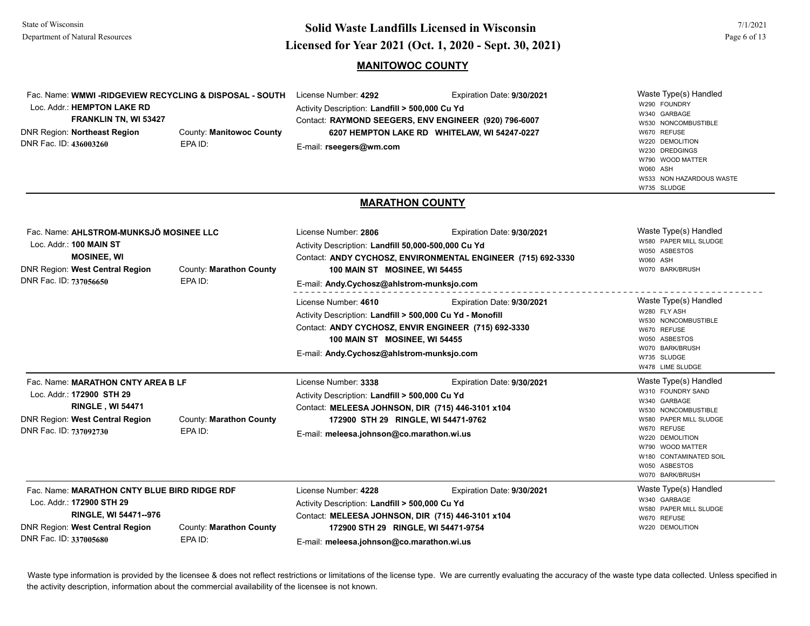## **Licensed for Year 2021 (Oct. 1, 2020 - Sept. 30, 2021) Solid Waste Landfills Licensed in Wisconsin**

#### **MANITOWOC COUNTY**

| Fac. Name: WMWI - RIDGEVIEW RECYCLING & DISPOSAL - SOUTH<br>Loc. Addr.: HEMPTON LAKE RD<br>FRANKLIN TN, WI 53427<br><b>DNR Region: Northeast Region</b><br>DNR Fac. ID: 436003260 | County: Manitowoc County<br>EPA ID: | License Number: 4292<br>Expiration Date: 9/30/2021<br>Activity Description: Landfill > 500,000 Cu Yd<br>Contact: RAYMOND SEEGERS, ENV ENGINEER (920) 796-6007<br>6207 HEMPTON LAKE RD WHITELAW, WI 54247-0227<br>E-mail: rseegers@wm.com                | Waste Type(s) Handled<br>W290 FOUNDRY<br>W340 GARBAGE<br>W530 NONCOMBUSTIBLE<br>W670 REFUSE<br>W220 DEMOLITION<br>W230 DREDGINGS<br>W790 WOOD MATTER<br><b>W060 ASH</b><br>W533 NON HAZARDOUS WASTE<br>W735 SLUDGE              |
|-----------------------------------------------------------------------------------------------------------------------------------------------------------------------------------|-------------------------------------|---------------------------------------------------------------------------------------------------------------------------------------------------------------------------------------------------------------------------------------------------------|---------------------------------------------------------------------------------------------------------------------------------------------------------------------------------------------------------------------------------|
|                                                                                                                                                                                   |                                     | <b>MARATHON COUNTY</b>                                                                                                                                                                                                                                  |                                                                                                                                                                                                                                 |
| Fac. Name: AHLSTROM-MUNKSJÖ MOSINEE LLC<br>Loc. Addr.: 100 MAIN ST<br><b>MOSINEE, WI</b><br>DNR Region: West Central Region<br>DNR Fac. ID: 737056650                             | County: Marathon County<br>EPA ID:  | License Number: 2806<br>Expiration Date: 9/30/2021<br>Activity Description: Landfill 50,000-500,000 Cu Yd<br>Contact: ANDY CYCHOSZ, ENVIRONMENTAL ENGINEER (715) 692-3330<br>100 MAIN ST MOSINEE, WI 54455<br>E-mail: Andy.Cychosz@ahlstrom-munksjo.com | Waste Type(s) Handled<br>W580 PAPER MILL SLUDGE<br>W050 ASBESTOS<br>W060 ASH<br>W070 BARK/BRUSH                                                                                                                                 |
|                                                                                                                                                                                   |                                     | License Number: 4610<br>Expiration Date: 9/30/2021<br>Activity Description: Landfill > 500,000 Cu Yd - Monofill<br>Contact: ANDY CYCHOSZ, ENVIR ENGINEER (715) 692-3330<br>100 MAIN ST MOSINEE, WI 54455<br>E-mail: Andy.Cychosz@ahlstrom-munksjo.com   | Waste Type(s) Handled<br>W280 FLY ASH<br>W530 NONCOMBUSTIBLE<br>W670 REFUSE<br>W050 ASBESTOS<br>W070 BARK/BRUSH<br>W735 SLUDGE<br>W478 LIME SLUDGE                                                                              |
| Fac. Name: MARATHON CNTY AREA B LF<br>Loc. Addr.: 172900 STH 29<br><b>RINGLE, WI 54471</b><br><b>DNR Region: West Central Region</b><br>DNR Fac. ID: 737092730                    | County: Marathon County<br>EPA ID:  | License Number: 3338<br>Expiration Date: 9/30/2021<br>Activity Description: Landfill > 500,000 Cu Yd<br>Contact: MELEESA JOHNSON, DIR (715) 446-3101 x104<br>172900 STH 29 RINGLE, WI 54471-9762<br>E-mail: meleesa.johnson@co.marathon.wi.us           | Waste Type(s) Handled<br>W310 FOUNDRY SAND<br>W340 GARBAGE<br>W530 NONCOMBUSTIBLE<br>W580 PAPER MILL SLUDGE<br>W670 REFUSE<br>W220 DEMOLITION<br>W790 WOOD MATTER<br>W180 CONTAMINATED SOIL<br>W050 ASBESTOS<br>W070 BARK/BRUSH |
| Fac. Name: MARATHON CNTY BLUE BIRD RIDGE RDF<br>Loc. Addr.: 172900 STH 29<br>RINGLE, WI 54471--976<br><b>DNR Region: West Central Region</b><br>DNR Fac. ID: 337005680            | County: Marathon County<br>EPA ID:  | License Number: 4228<br>Expiration Date: 9/30/2021<br>Activity Description: Landfill > 500,000 Cu Yd<br>Contact: MELEESA JOHNSON, DIR (715) 446-3101 x104<br>172900 STH 29 RINGLE, WI 54471-9754<br>E-mail: meleesa.johnson@co.marathon.wi.us           | Waste Type(s) Handled<br>W340 GARBAGE<br>W580 PAPER MILL SLUDGE<br>W670 REFUSE<br>W220 DEMOLITION                                                                                                                               |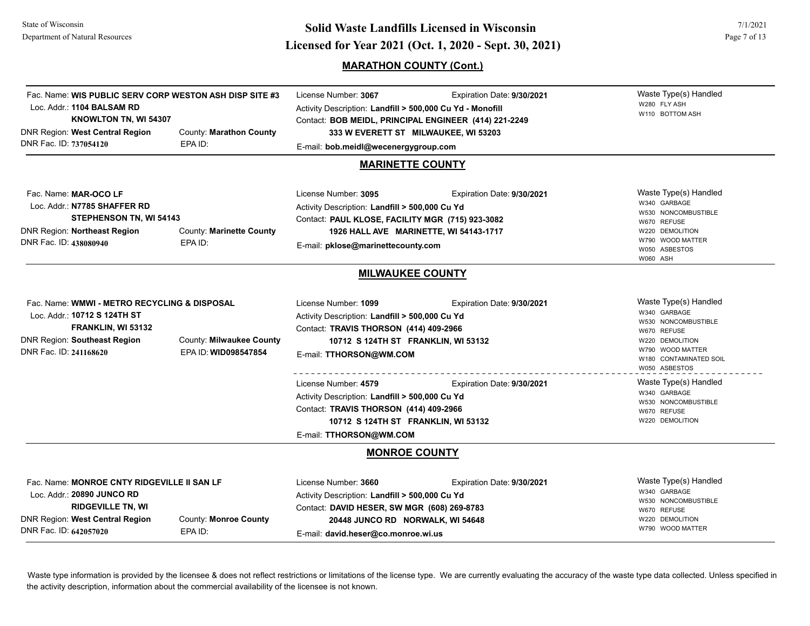## **Licensed for Year 2021 (Oct. 1, 2020 - Sept. 30, 2021) Solid Waste Landfills Licensed in Wisconsin**

#### **MARATHON COUNTY (Cont.)**

Waste Type(s) Handled W280 FLY ASH W110 BOTTOM ASH Fac. Name: **WIS PUBLIC SERV CORP WESTON ASH DISP SITE #3**Loc. Addr.: **1104 BALSAM RDKNOWLTON TN, WI 54307** DNR Region: **West Central Region** DNR Fac. ID: **737054120**County: **Marathon County** EPA ID:License Number: **3067** Expiration Date: **9/30/2021**  Activity Description: **Landfill > 500,000 Cu Yd - Monofill** Contact: **BOB MEIDL, PRINCIPAL ENGINEER (414) 221-2249** E-mail: **bob.meidl@wecenergygroup.com 333 W EVERETT ST MILWAUKEE, WI 53203 MARINETTE COUNTY**Waste Type(s) Handled W340 GARBAGE W530 NONCOMBUSTIBLE W670 REFUSE W220 DEMOLITION W790 WOOD MATTER W050 ASBESTOSW060 ASHFac. Name: **MAR-OCO LF**Loc. Addr.: **N7785 SHAFFER RDSTEPHENSON TN, WI 54143** DNR Region: **Northeast Region** DNR Fac. ID: **438080940**County: **Marinette County** EPA ID:License Number: **3095** Expiration Date: **9/30/2021**  Activity Description: **Landfill > 500,000 Cu Yd** Contact: **PAUL KLOSE, FACILITY MGR (715) 923-3082** E-mail: **pklose@marinettecounty.com 1926 HALL AVE MARINETTE, WI 54143-1717 MILWAUKEE COUNTY** Waste Type(s) Handled W340 GARBAGE W530 NONCOMBUSTIBLE W670 REFUSE W220 DEMOLITION W790 WOOD MATTER W180 CONTAMINATED SOIL W050 ASBESTOSFac. Name: **WMWI - METRO RECYCLING & DISPOSAL**Loc. Addr.: **10712 S 124TH STFRANKLIN, WI 53132** DNR Region: **Southeast Region** DNR Fac. ID: **241168620**County: **Milwaukee County** EPA ID: **WID098547854**License Number: **1099** Expiration Date: **9/30/2021**  Activity Description: **Landfill > 500,000 Cu Yd** Contact: **TRAVIS THORSON (414) 409-2966** E-mail: **TTHORSON@WM.COM 10712 S 124TH ST FRANKLIN, WI 53132** Waste Type(s) Handled W340 GARBAGE W530 NONCOMBUSTIBLE W670 REFUSE W220 DEMOLITION License Number: **4579** Expiration Date: **9/30/2021**  Activity Description: **Landfill > 500,000 Cu Yd** Contact: **TRAVIS THORSON (414) 409-2966** E-mail: **TTHORSON@WM.COM 10712 S 124TH ST FRANKLIN, WI 53132 MONROE COUNTY**Waste Type(s) Handled W340 GARBAGE W530 NONCOMBUSTIBLE W670 REFUSE W220 DEMOLITION W790 WOOD MATTER Fac. Name: **MONROE CNTY RIDGEVILLE II SAN LF**Loc. Addr.: **20890 JUNCO RDRIDGEVILLE TN, WI**  DNR Region: **West Central Region** DNR Fac. ID: **642057020**County: **Monroe County** EPA ID:License Number: **3660** Expiration Date: **9/30/2021**  Activity Description: **Landfill > 500,000 Cu Yd** Contact: **DAVID HESER, SW MGR (608) 269-8783** E-mail: **david.heser@co.monroe.wi.us 20448 JUNCO RD NORWALK, WI 54648**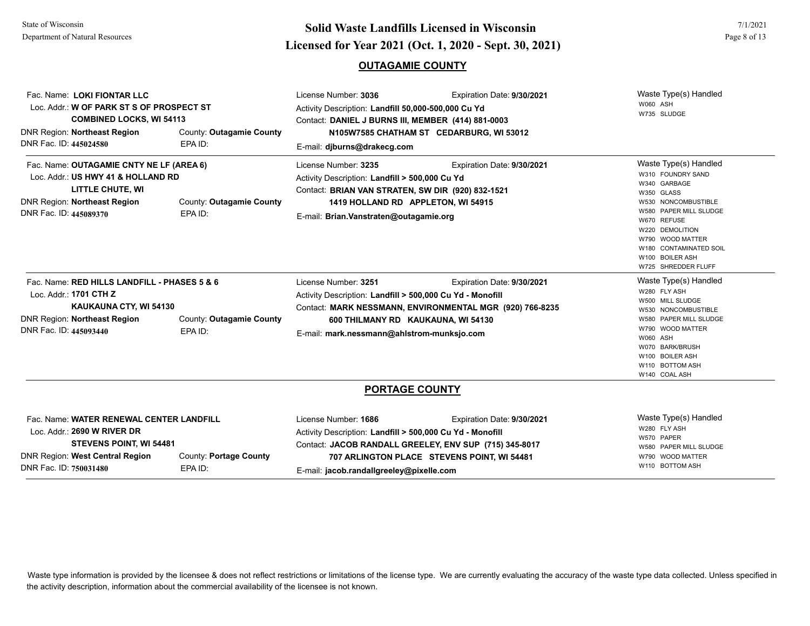## **Page 8 of 13**<br> **Licensed for Year 2021 (Oct. 1, 2020 - Sept. 30, 2021) Solid Waste Landfills Licensed in Wisconsin**

#### **OUTAGAMIE COUNTY**

| Fac. Name: LOKI FIONTAR LLC<br>Loc. Addr.: W OF PARK ST S OF PROSPECT ST<br><b>COMBINED LOCKS, WI 54113</b><br><b>DNR Region: Northeast Region</b><br>DNR Fac. ID: 445024580 | County: Outagamie County<br>EPA ID: | License Number: 3036<br>Expiration Date: 9/30/2021<br>Activity Description: Landfill 50,000-500,000 Cu Yd<br>Contact: DANIEL J BURNS III, MEMBER (414) 881-0003<br>N105W7585 CHATHAM ST CEDARBURG, WI 53012<br>E-mail: djburns@drakecg.com                      | Waste Type(s) Handled<br>W060 ASH<br>W735 SLUDGE                                                                                                                                                                                                    |
|------------------------------------------------------------------------------------------------------------------------------------------------------------------------------|-------------------------------------|-----------------------------------------------------------------------------------------------------------------------------------------------------------------------------------------------------------------------------------------------------------------|-----------------------------------------------------------------------------------------------------------------------------------------------------------------------------------------------------------------------------------------------------|
| Fac. Name: OUTAGAMIE CNTY NE LF (AREA 6)<br>Loc. Addr.: US HWY 41 & HOLLAND RD<br>LITTLE CHUTE, WI<br><b>DNR Region: Northeast Region</b><br>DNR Fac. ID: 445089370          | County: Outagamie County<br>EPA ID: | License Number: 3235<br>Expiration Date: 9/30/2021<br>Activity Description: Landfill > 500,000 Cu Yd<br>Contact: BRIAN VAN STRATEN, SW DIR (920) 832-1521<br>1419 HOLLAND RD APPLETON, WI 54915<br>E-mail: Brian.Vanstraten@outagamie.org                       | Waste Type(s) Handled<br>W310 FOUNDRY SAND<br>W340 GARBAGE<br>W350 GLASS<br>W530 NONCOMBUSTIBLE<br>W580 PAPER MILL SLUDGE<br>W670 REFUSE<br>W220 DEMOLITION<br>W790 WOOD MATTER<br>W180 CONTAMINATED SOIL<br>W100 BOILER ASH<br>W725 SHREDDER FLUFF |
| Fac. Name: RED HILLS LANDFILL - PHASES 5 & 6<br>Loc. Addr.: 1701 CTH Z<br>KAUKAUNA CTY, WI 54130<br>DNR Region: Northeast Region<br>DNR Fac. ID: 445093440                   | County: Outagamie County<br>EPA ID: | License Number: 3251<br>Expiration Date: 9/30/2021<br>Activity Description: Landfill > 500,000 Cu Yd - Monofill<br>Contact: MARK NESSMANN, ENVIRONMENTAL MGR (920) 766-8235<br>600 THILMANY RD KAUKAUNA, WI 54130<br>E-mail: mark.nessmann@ahlstrom-munksjo.com | Waste Type(s) Handled<br>W280 FLY ASH<br>W500 MILL SLUDGE<br>W530 NONCOMBUSTIBLE<br>W580 PAPER MILL SLUDGE<br>W790 WOOD MATTER<br>W060 ASH<br>W070 BARK/BRUSH<br>W100 BOILER ASH<br>W110 BOTTOM ASH<br>W140 COAL ASH                                |
|                                                                                                                                                                              |                                     | <b>PORTAGE COUNTY</b>                                                                                                                                                                                                                                           |                                                                                                                                                                                                                                                     |

| Fac. Name: WATER RENEWAL CENTER LANDFILL |                        | License Number: 1686                                      | Expiration Date: 9/30/2021                  | Waste Type(s) Handled                |
|------------------------------------------|------------------------|-----------------------------------------------------------|---------------------------------------------|--------------------------------------|
| Loc. Addr.: 2690 W RIVER DR              |                        | Activity Description: Landfill > 500,000 Cu Yd - Monofill |                                             | W280 FLY ASH                         |
| <b>STEVENS POINT, WI 54481</b>           |                        | Contact: JACOB RANDALL GREELEY, ENV SUP (715) 345-8017    |                                             | W570 PAPER<br>W580 PAPER MILL SLUDGE |
| DNR Region: West Central Region          | County: Portage County |                                                           | 707 ARLINGTON PLACE STEVENS POINT, WI 54481 | W790 WOOD MATTER                     |
| DNR Fac. ID: 750031480                   | EPA ID:                | E-mail: jacob.randallgreeley@pixelle.com                  |                                             | W110 BOTTOM ASH                      |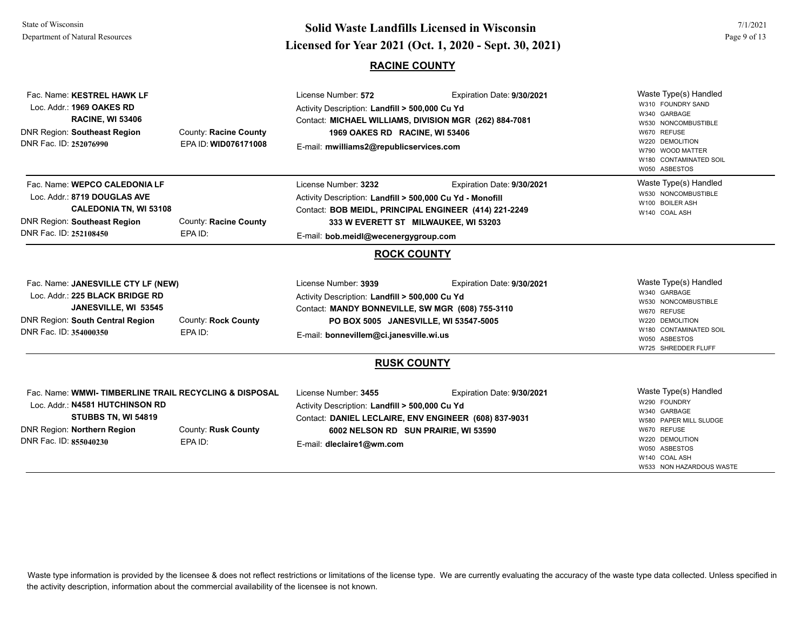# **Page 9 of 13**<br> **Licensed for Year 2021 (Oct. 1, 2020 - Sept. 30, 2021) Solid Waste Landfills Licensed in Wisconsin**

### **RACINE COUNTY**

| Fac. Name: KESTREL HAWK LF<br>Loc. Addr.: 1969 OAKES RD<br><b>RACINE, WI 53406</b><br><b>DNR Region: Southeast Region</b><br>County: Racine County<br>DNR Fac. ID: 252076990<br>EPA ID: WID076171008              | License Number: 572<br>Expiration Date: 9/30/2021<br>Activity Description: Landfill > 500,000 Cu Yd<br>Contact: MICHAEL WILLIAMS, DIVISION MGR (262) 884-7081<br>1969 OAKES RD RACINE, WI 53406<br>E-mail: mwilliams2@republicservices.com               | Waste Type(s) Handled<br>W310 FOUNDRY SAND<br>W340 GARBAGE<br>W530 NONCOMBUSTIBLE<br>W670 REFUSE<br>W220 DEMOLITION<br>W790 WOOD MATTER<br>W180 CONTAMINATED SOIL<br>W050 ASBESTOS |
|-------------------------------------------------------------------------------------------------------------------------------------------------------------------------------------------------------------------|----------------------------------------------------------------------------------------------------------------------------------------------------------------------------------------------------------------------------------------------------------|------------------------------------------------------------------------------------------------------------------------------------------------------------------------------------|
| Fac. Name: WEPCO CALEDONIA LF<br>Loc. Addr.: 8719 DOUGLAS AVE<br><b>CALEDONIA TN, WI 53108</b><br><b>DNR Region: Southeast Region</b><br>County: Racine County<br>DNR Fac. ID: 252108450<br>EPA ID:               | License Number: 3232<br>Expiration Date: 9/30/2021<br>Activity Description: Landfill > 500,000 Cu Yd - Monofill<br>Contact: BOB MEIDL, PRINCIPAL ENGINEER (414) 221-2249<br>333 W EVERETT ST MILWAUKEE, WI 53203<br>E-mail: bob.meidl@wecenergygroup.com | Waste Type(s) Handled<br>W530 NONCOMBUSTIBLE<br>W100 BOILER ASH<br>W140 COAL ASH                                                                                                   |
|                                                                                                                                                                                                                   | <b>ROCK COUNTY</b>                                                                                                                                                                                                                                       |                                                                                                                                                                                    |
| Fac. Name: JANESVILLE CTY LF (NEW)<br>Loc. Addr.: 225 BLACK BRIDGE RD<br>JANESVILLE, WI 53545<br><b>DNR Region: South Central Region</b><br>County: Rock County<br>DNR Fac. ID: 354000350<br>EPA ID:              | License Number: 3939<br>Expiration Date: 9/30/2021<br>Activity Description: Landfill > 500,000 Cu Yd<br>Contact: MANDY BONNEVILLE, SW MGR (608) 755-3110<br>PO BOX 5005 JANESVILLE, WI 53547-5005<br>E-mail: bonnevillem@ci.janesville.wi.us             | Waste Type(s) Handled<br>W340 GARBAGE<br>W530 NONCOMBUSTIBLE<br>W670 REFUSE<br>W220 DEMOLITION<br>W180 CONTAMINATED SOIL<br>W050 ASBESTOS<br>W725 SHREDDER FLUFF                   |
|                                                                                                                                                                                                                   | <b>RUSK COUNTY</b>                                                                                                                                                                                                                                       |                                                                                                                                                                                    |
| Fac. Name: WMWI-TIMBERLINE TRAIL RECYCLING & DISPOSAL<br>Loc. Addr.: N4581 HUTCHINSON RD<br>STUBBS TN, WI 54819<br><b>DNR Region: Northern Region</b><br>County: Rusk County<br>DNR Fac. ID: 855040230<br>EPA ID: | License Number: 3455<br>Expiration Date: 9/30/2021<br>Activity Description: Landfill > 500,000 Cu Yd<br>Contact: DANIEL LECLAIRE, ENV ENGINEER (608) 837-9031<br>6002 NELSON RD SUN PRAIRIE, WI 53590<br>E-mail: dleclaire1@wm.com                       | Waste Type(s) Handled<br>W290 FOUNDRY<br>W340 GARBAGE<br>W580 PAPER MILL SLUDGE<br>W670 REFUSE<br>W220 DEMOLITION<br>W050 ASBESTOS<br>W140 COAL ASH<br>W533 NON HAZARDOUS WASTE    |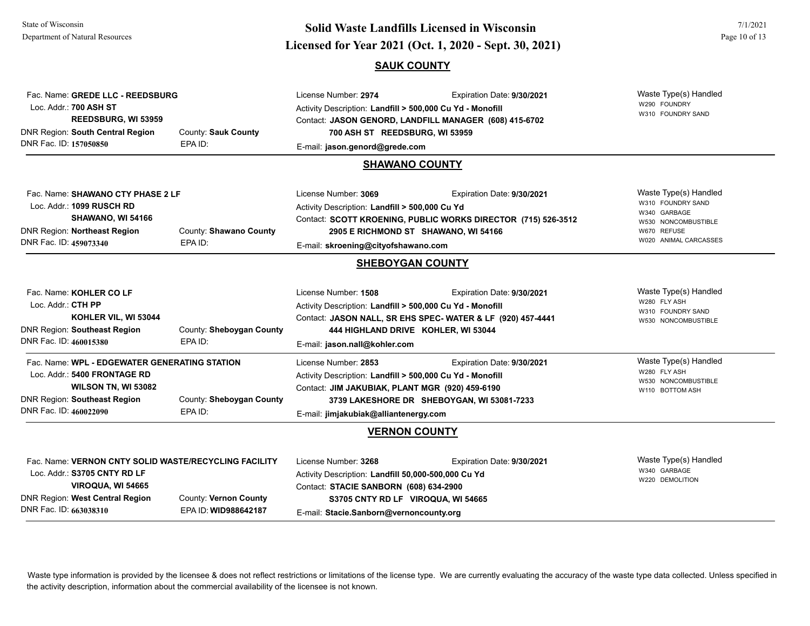### **Page 10 of 13**<br>**Licensed for Year 2021 (Oct. 1, 2020 - Sept. 30, 2021) Solid Waste Landfills Licensed in Wisconsin SAUK COUNTY**

| Fac. Name: GREDE LLC - REEDSBURG<br>Loc. Addr.: 700 ASH ST<br>REEDSBURG, WI 53959<br>DNR Region: South Central Region<br>DNR Fac. ID: 157050850                                | County: Sauk County<br>EPA ID:                | License Number: 2974<br>Activity Description: Landfill > 500,000 Cu Yd - Monofill<br>Contact: JASON GENORD, LANDFILL MANAGER (608) 415-6702<br>700 ASH ST REEDSBURG, WI 53959<br>E-mail: jason.genord@grede.com<br><b>SHAWANO COUNTY</b> | Expiration Date: 9/30/2021 | Waste Type(s) Handled<br>W290 FOUNDRY<br>W310 FOUNDRY SAND                                                                |
|--------------------------------------------------------------------------------------------------------------------------------------------------------------------------------|-----------------------------------------------|------------------------------------------------------------------------------------------------------------------------------------------------------------------------------------------------------------------------------------------|----------------------------|---------------------------------------------------------------------------------------------------------------------------|
| Fac. Name: SHAWANO CTY PHASE 2 LF<br>Loc. Addr.: 1099 RUSCH RD<br>SHAWANO, WI 54166<br>DNR Region: Northeast Region<br>DNR Fac. ID: 459073340                                  | County: Shawano County<br>EPA ID:             | License Number: 3069<br>Activity Description: Landfill > 500,000 Cu Yd<br>Contact: SCOTT KROENING, PUBLIC WORKS DIRECTOR (715) 526-3512<br>2905 E RICHMOND ST SHAWANO, WI 54166<br>E-mail: skroening@cityofshawano.com                   | Expiration Date: 9/30/2021 | Waste Type(s) Handled<br>W310 FOUNDRY SAND<br>W340 GARBAGE<br>W530 NONCOMBUSTIBLE<br>W670 REFUSE<br>W020 ANIMAL CARCASSES |
|                                                                                                                                                                                |                                               | <b>SHEBOYGAN COUNTY</b>                                                                                                                                                                                                                  |                            |                                                                                                                           |
| Fac. Name: KOHLER CO LF<br>Loc. Addr.: CTH PP<br>KOHLER VIL, WI 53044<br>DNR Region: Southeast Region<br>DNR Fac. ID: 460015380                                                | County: Sheboygan County<br>EPA ID:           | License Number: 1508<br>Activity Description: Landfill > 500,000 Cu Yd - Monofill<br>Contact: JASON NALL, SR EHS SPEC- WATER & LF (920) 457-4441<br>444 HIGHLAND DRIVE KOHLER, WI 53044<br>E-mail: jason.nall@kohler.com                 | Expiration Date: 9/30/2021 | Waste Type(s) Handled<br>W280 FLY ASH<br>W310 FOUNDRY SAND<br>W530 NONCOMBUSTIBLE                                         |
| Fac. Name: WPL - EDGEWATER GENERATING STATION<br>Loc. Addr.: 5400 FRONTAGE RD<br>WILSON TN, WI 53082<br><b>DNR Region: Southeast Region</b><br>DNR Fac. ID: 460022090          | County: Sheboygan County<br>EPA ID:           | License Number: 2853<br>Activity Description: Landfill > 500,000 Cu Yd - Monofill<br>Contact: JIM JAKUBIAK, PLANT MGR (920) 459-6190<br>3739 LAKESHORE DR SHEBOYGAN, WI 53081-7233<br>E-mail: jimjakubiak@alliantenergy.com              | Expiration Date: 9/30/2021 | Waste Type(s) Handled<br>W280 FLY ASH<br>W530 NONCOMBUSTIBLE<br>W110 BOTTOM ASH                                           |
|                                                                                                                                                                                |                                               | <b>VERNON COUNTY</b>                                                                                                                                                                                                                     |                            |                                                                                                                           |
| Fac. Name: VERNON CNTY SOLID WASTE/RECYCLING FACILITY<br>Loc. Addr.: S3705 CNTY RD LF<br>VIROQUA, WI 54665<br><b>DNR Region: West Central Region</b><br>DNR Fac. ID: 663038310 | County: Vernon County<br>EPA ID: WID988642187 | License Number: 3268<br>Activity Description: Landfill 50,000-500,000 Cu Yd<br>Contact: STACIE SANBORN (608) 634-2900<br>S3705 CNTY RD LF VIROQUA, WI 54665<br>E-mail: Stacie.Sanborn@vernoncounty.org                                   | Expiration Date: 9/30/2021 | Waste Type(s) Handled<br>W340 GARBAGE<br>W220 DEMOLITION                                                                  |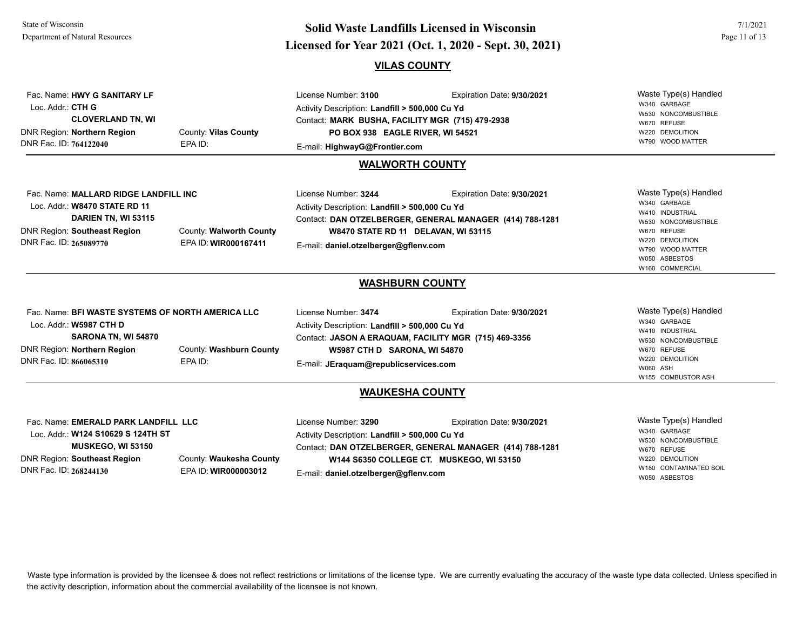DNR Fac. ID: **268244130**

EPA ID: **WIR000003012**

### **Licensed for Year 2021 (Oct. 1, 2020 - Sept. 30, 2021) Solid Waste Landfills Licensed in WisconsinVILAS COUNTY**

7/1/2021

W180 CONTAMINATED SOIL W050 ASBESTOS

Waste Type(s) Handled W340 GARBAGE W530 NONCOMBUSTIBLE W670 REFUSE W220 DEMOLITION W790 WOOD MATTER Fac. Name: **HWY G SANITARY LF**Loc. Addr.: **CTH GCLOVERLAND TN, WI**  DNR Region: **Northern Region** DNR Fac. ID: **764122040**County: **Vilas County** EPA ID:License Number: **3100** Expiration Date: **9/30/2021**  Activity Description: **Landfill > 500,000 Cu Yd** Contact: **MARK BUSHA, FACILITY MGR (715) 479-2938** E-mail: **HighwayG@Frontier.com PO BOX 938 EAGLE RIVER, WI 54521 WALWORTH COUNTY**Waste Type(s) Handled W340 GARBAGE W410 INDUSTRIAL W530 NONCOMBUSTIBLE W670 REFUSE W220 DEMOLITION W790 WOOD MATTER W050 ASBESTOSW160 COMMERCIAL Fac. Name: **MALLARD RIDGE LANDFILL INC**Loc. Addr.: **W8470 STATE RD 11DARIEN TN, WI 53115** DNR Region: **Southeast Region** DNR Fac. ID: **265089770**County: **Walworth County** EPA ID: **WIR000167411**License Number: **3244** Expiration Date: **9/30/2021**  Activity Description: **Landfill > 500,000 Cu Yd** Contact: **DAN OTZELBERGER, GENERAL MANAGER (414) 788-1281** E-mail: **daniel.otzelberger@gflenv.com W8470 STATE RD 11 DELAVAN, WI 53115 WASHBURN COUNTY** Waste Type(s) Handled W340 GARBAGE W410 INDUSTRIAL W530 NONCOMBUSTIBLE W670 REFUSE W220 DEMOLITION W060 ASHW155 COMBUSTOR ASH Fac. Name: **BFI WASTE SYSTEMS OF NORTH AMERICA LLC**Loc. Addr.: **W5987 CTH DSARONA TN, WI 54870** DNR Region: **Northern Region** DNR Fac. ID: **866065310**County: **Washburn County** EPA ID:License Number: **3474** Expiration Date: **9/30/2021**  Activity Description: **Landfill > 500,000 Cu Yd** Contact: **JASON A ERAQUAM, FACILITY MGR (715) 469-3356** E-mail: **JEraquam@republicservices.com W5987 CTH D SARONA, WI 54870 WAUKESHA COUNTY**Waste Type(s) Handled W340 GARBAGE W530 NONCOMBUSTIBLE W670 REFUSE W220 DEMOLITION Fac. Name: **EMERALD PARK LANDFILL LLC**Loc. Addr.: **W124 S10629 S 124TH STMUSKEGO, WI 53150** DNR Region: **Southeast Region** County: **Waukesha County** License Number: **3290** Expiration Date: **9/30/2021**  Activity Description: **Landfill > 500,000 Cu Yd** Contact: **DAN OTZELBERGER, GENERAL MANAGER (414) 788-1281 W144 S6350 COLLEGE CT. MUSKEGO, WI 53150**

Waste type information is provided by the licensee & does not reflect restrictions or limitations of the license type. We are currently evaluating the accuracy of the waste type data collected. Unless specified in the activity description, information about the commercial availability of the licensee is not known.

E-mail: **daniel.otzelberger@gflenv.com**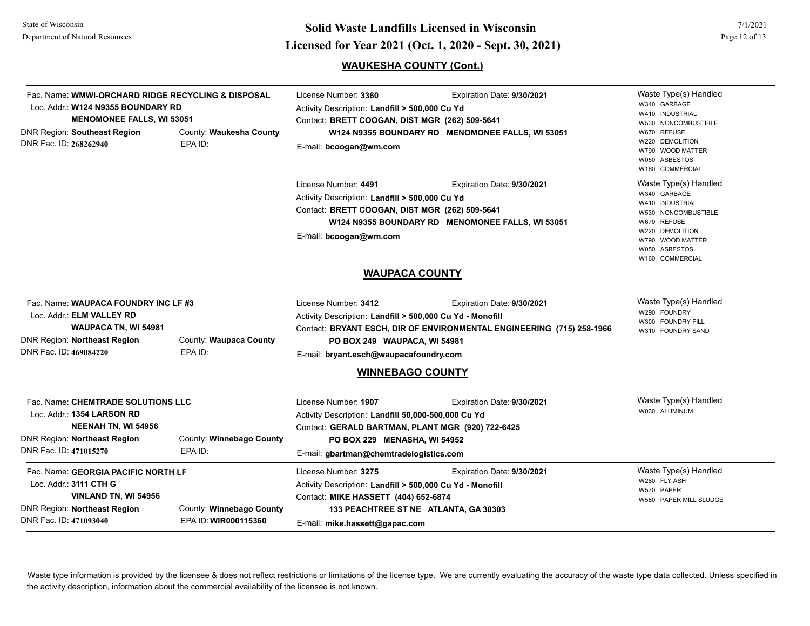## **Page 12 of 13**<br> **Licensed for Year 2021 (Oct. 1, 2020 - Sept. 30, 2021) Solid Waste Landfills Licensed in Wisconsin**

### **WAUKESHA COUNTY (Cont.)**

| Fac. Name: WMWI-ORCHARD RIDGE RECYCLING & DISPOSAL<br>Loc. Addr.: W124 N9355 BOUNDARY RD<br><b>MENOMONEE FALLS, WI 53051</b><br>County: Waukesha County<br><b>DNR Region: Southeast Region</b><br>DNR Fac. ID: 268262940<br>EPA ID: |                                                  | License Number: 3360<br>Activity Description: Landfill > 500,000 Cu Yd<br>Contact: BRETT COOGAN, DIST MGR (262) 509-5641<br>E-mail: bcoogan@wm.com                                                          | Expiration Date: 9/30/2021<br>W124 N9355 BOUNDARY RD MENOMONEE FALLS, WI 53051                      | Waste Type(s) Handled<br>W340 GARBAGE<br>W410 INDUSTRIAL<br>W530 NONCOMBUSTIBLE<br>W670 REFUSE<br>W220 DEMOLITION<br>W790 WOOD MATTER<br>W050 ASBESTOS<br>W160 COMMERCIAL |
|-------------------------------------------------------------------------------------------------------------------------------------------------------------------------------------------------------------------------------------|--------------------------------------------------|-------------------------------------------------------------------------------------------------------------------------------------------------------------------------------------------------------------|-----------------------------------------------------------------------------------------------------|---------------------------------------------------------------------------------------------------------------------------------------------------------------------------|
|                                                                                                                                                                                                                                     |                                                  | License Number: 4491<br>Activity Description: Landfill > 500,000 Cu Yd<br>Contact: BRETT COOGAN, DIST MGR (262) 509-5641<br>E-mail: bcoogan@wm.com                                                          | Expiration Date: 9/30/2021<br>W124 N9355 BOUNDARY RD MENOMONEE FALLS, WI 53051                      | Waste Type(s) Handled<br>W340 GARBAGE<br>W410 INDUSTRIAL<br>W530 NONCOMBUSTIBLE<br>W670 REFUSE<br>W220 DEMOLITION<br>W790 WOOD MATTER<br>W050 ASBESTOS<br>W160 COMMERCIAL |
|                                                                                                                                                                                                                                     |                                                  | <b>WAUPACA COUNTY</b>                                                                                                                                                                                       |                                                                                                     |                                                                                                                                                                           |
| Fac. Name: WAUPACA FOUNDRY INC LF #3<br>Loc. Addr.: ELM VALLEY RD<br>WAUPACA TN, WI 54981<br><b>DNR Region: Northeast Region</b><br>DNR Fac. ID: 469084220                                                                          | County: Waupaca County<br>EPA ID:                | License Number: 3412<br>Activity Description: Landfill > 500,000 Cu Yd - Monofill<br>PO BOX 249 WAUPACA, WI 54981<br>E-mail: bryant.esch@waupacafoundry.com                                                 | Expiration Date: 9/30/2021<br>Contact: BRYANT ESCH, DIR OF ENVIRONMENTAL ENGINEERING (715) 258-1966 | Waste Type(s) Handled<br>W290 FOUNDRY<br>W300 FOUNDRY FILL<br>W310 FOUNDRY SAND                                                                                           |
|                                                                                                                                                                                                                                     |                                                  | <b>WINNEBAGO COUNTY</b>                                                                                                                                                                                     |                                                                                                     |                                                                                                                                                                           |
| Fac. Name: CHEMTRADE SOLUTIONS LLC<br>Loc. Addr.: 1354 LARSON RD<br><b>NEENAH TN, WI 54956</b><br><b>DNR Region: Northeast Region</b><br>DNR Fac. ID: 471015270                                                                     | County: Winnebago County<br>EPA ID:              | License Number: 1907<br>Activity Description: Landfill 50,000-500,000 Cu Yd<br>Contact: GERALD BARTMAN, PLANT MGR (920) 722-6425<br>PO BOX 229 MENASHA, WI 54952<br>E-mail: gbartman@chemtradelogistics.com | Expiration Date: 9/30/2021                                                                          | Waste Type(s) Handled<br>W030 ALUMINUM                                                                                                                                    |
| Fac. Name: GEORGIA PACIFIC NORTH LF<br>Loc. Addr.: 3111 CTH G<br>VINLAND TN, WI 54956<br><b>DNR Region: Northeast Region</b><br>DNR Fac. ID: 471093040                                                                              | County: Winnebago County<br>EPA ID: WIR000115360 | License Number: 3275<br>Activity Description: Landfill > 500,000 Cu Yd - Monofill<br>Contact: MIKE HASSETT (404) 652-6874<br>E-mail: mike.hassett@gapac.com                                                 | Expiration Date: 9/30/2021<br>133 PEACHTREE ST NE ATLANTA, GA 30303                                 | Waste Type(s) Handled<br>W280 FLY ASH<br>W570 PAPER<br>W580 PAPER MILL SLUDGE                                                                                             |